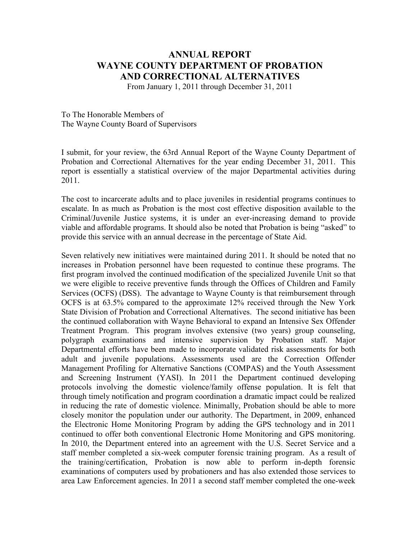## **ANNUAL REPORT WAYNE COUNTY DEPARTMENT OF PROBATION AND CORRECTIONAL ALTERNATIVES**

From January 1, 2011 through December 31, 2011

To The Honorable Members of The Wayne County Board of Supervisors

I submit, for your review, the 63rd Annual Report of the Wayne County Department of Probation and Correctional Alternatives for the year ending December 31, 2011. This report is essentially a statistical overview of the major Departmental activities during 2011.

The cost to incarcerate adults and to place juveniles in residential programs continues to escalate. In as much as Probation is the most cost effective disposition available to the Criminal/Juvenile Justice systems, it is under an ever-increasing demand to provide viable and affordable programs. It should also be noted that Probation is being "asked" to provide this service with an annual decrease in the percentage of State Aid.

Seven relatively new initiatives were maintained during 2011. It should be noted that no increases in Probation personnel have been requested to continue these programs. The first program involved the continued modification of the specialized Juvenile Unit so that we were eligible to receive preventive funds through the Offices of Children and Family Services (OCFS) (DSS). The advantage to Wayne County is that reimbursement through OCFS is at 63.5% compared to the approximate 12% received through the New York State Division of Probation and Correctional Alternatives. The second initiative has been the continued collaboration with Wayne Behavioral to expand an Intensive Sex Offender Treatment Program. This program involves extensive (two years) group counseling, polygraph examinations and intensive supervision by Probation staff. Major Departmental efforts have been made to incorporate validated risk assessments for both adult and juvenile populations. Assessments used are the Correction Offender Management Profiling for Alternative Sanctions (COMPAS) and the Youth Assessment and Screening Instrument (YASI). In 2011 the Department continued developing protocols involving the domestic violence/family offense population. It is felt that through timely notification and program coordination a dramatic impact could be realized in reducing the rate of domestic violence. Minimally, Probation should be able to more closely monitor the population under our authority. The Department, in 2009, enhanced the Electronic Home Monitoring Program by adding the GPS technology and in 2011 continued to offer both conventional Electronic Home Monitoring and GPS monitoring. In 2010, the Department entered into an agreement with the U.S. Secret Service and a staff member completed a six-week computer forensic training program. As a result of the training/certification, Probation is now able to perform in-depth forensic examinations of computers used by probationers and has also extended those services to area Law Enforcement agencies. In 2011 a second staff member completed the one-week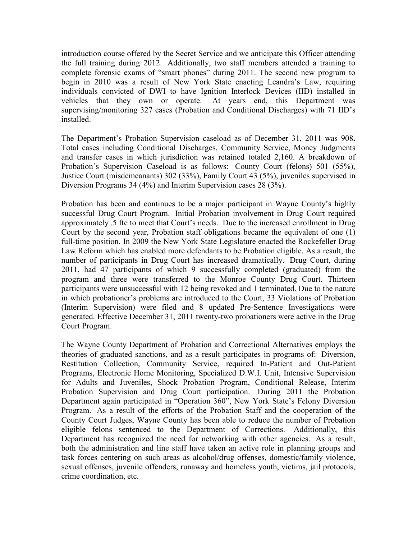introduction course offered by the Secret Service and we anticipate this Officer attending the full training during 2012. Additionally, two staff members attended a training to complete forensic exams of "smart phones" during 2011. The second new program to begin in 2010 was a result of New York State enacting Leandra's Law, requiring individuals convicted of DWI to have Ignition Interlock Devices (IID) installed in vehicles that they own or operate. At years end, this Department was supervising/monitoring 327 cases (Probation and Conditional Discharges) with 71 IID's installed.

The Department's Probation Supervision caseload as of December 31, 2011 was 908**.**  Total cases including Conditional Discharges, Community Service, Money Judgments and transfer cases in which jurisdiction was retained totaled 2,160. A breakdown of Probation's Supervision Caseload is as follows: County Court (felons) 501 (55%), Justice Court (misdemeanants) 302 (33%), Family Court 43 (5%), juveniles supervised in Diversion Programs 34 (4%) and Interim Supervision cases 28 (3%).

Probation has been and continues to be a major participant in Wayne County's highly successful Drug Court Program. Initial Probation involvement in Drug Court required approximately .5 fte to meet that Court's needs. Due to the increased enrollment in Drug Court by the second year, Probation staff obligations became the equivalent of one (1) full-time position. In 2009 the New York State Legislature enacted the Rockefeller Drug Law Reform which has enabled more defendants to be Probation eligible. As a result, the number of participants in Drug Court has increased dramatically. Drug Court, during 2011, had 47 participants of which 9 successfully completed (graduated) from the program and three were transferred to the Monroe County Drug Court. Thirteen participants were unsuccessful with 12 being revoked and 1 terminated. Due to the nature in which probationer's problems are introduced to the Court, 33 Violations of Probation (Interim Supervision) were filed and 8 updated Pre-Sentence Investigations were generated. Effective December 31, 2011 twenty-two probationers were active in the Drug Court Program.

The Wayne County Department of Probation and Correctional Alternatives employs the theories of graduated sanctions, and as a result participates in programs of: Diversion, Restitution Collection, Community Service, required In-Patient and Out-Patient Programs, Electronic Home Monitoring, Specialized D.W.I. Unit, Intensive Supervision for Adults and Juveniles, Shock Probation Program, Conditional Release, Interim Probation Supervision and Drug Court participation. During 2011 the Probation Department again participated in "Operation 360", New York State's Felony Diversion Program. As a result of the efforts of the Probation Staff and the cooperation of the County Court Judges, Wayne County has been able to reduce the number of Probation eligible felons sentenced to the Department of Corrections. Additionally, this Department has recognized the need for networking with other agencies. As a result, both the administration and line staff have taken an active role in planning groups and task forces centering on such areas as alcohol/drug offenses, domestic/family violence, sexual offenses, juvenile offenders, runaway and homeless youth, victims, jail protocols, crime coordination, etc.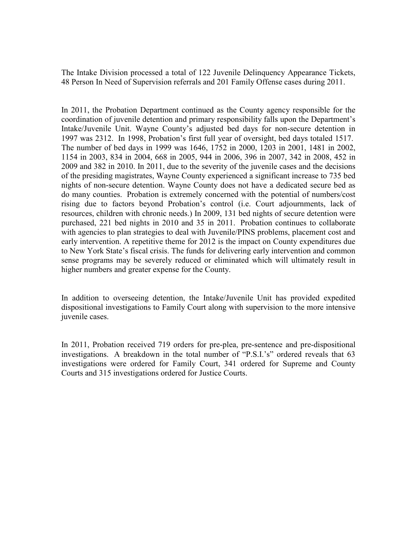The Intake Division processed a total of 122 Juvenile Delinquency Appearance Tickets, 48 Person In Need of Supervision referrals and 201 Family Offense cases during 2011.

In 2011, the Probation Department continued as the County agency responsible for the coordination of juvenile detention and primary responsibility falls upon the Department's Intake/Juvenile Unit. Wayne County's adjusted bed days for non-secure detention in 1997 was 2312. In 1998, Probation's first full year of oversight, bed days totaled 1517. The number of bed days in 1999 was 1646, 1752 in 2000, 1203 in 2001, 1481 in 2002, 1154 in 2003, 834 in 2004, 668 in 2005, 944 in 2006, 396 in 2007, 342 in 2008, 452 in 2009 and 382 in 2010. In 2011, due to the severity of the juvenile cases and the decisions of the presiding magistrates, Wayne County experienced a significant increase to 735 bed nights of non-secure detention. Wayne County does not have a dedicated secure bed as do many counties. Probation is extremely concerned with the potential of numbers/cost rising due to factors beyond Probation's control (i.e. Court adjournments, lack of resources, children with chronic needs.) In 2009, 131 bed nights of secure detention were purchased, 221 bed nights in 2010 and 35 in 2011. Probation continues to collaborate with agencies to plan strategies to deal with Juvenile/PINS problems, placement cost and early intervention. A repetitive theme for 2012 is the impact on County expenditures due to New York State's fiscal crisis. The funds for delivering early intervention and common sense programs may be severely reduced or eliminated which will ultimately result in higher numbers and greater expense for the County.

In addition to overseeing detention, the Intake/Juvenile Unit has provided expedited dispositional investigations to Family Court along with supervision to the more intensive juvenile cases.

In 2011, Probation received 719 orders for pre-plea, pre-sentence and pre-dispositional investigations. A breakdown in the total number of "P.S.I.'s" ordered reveals that 63 investigations were ordered for Family Court, 341 ordered for Supreme and County Courts and 315 investigations ordered for Justice Courts.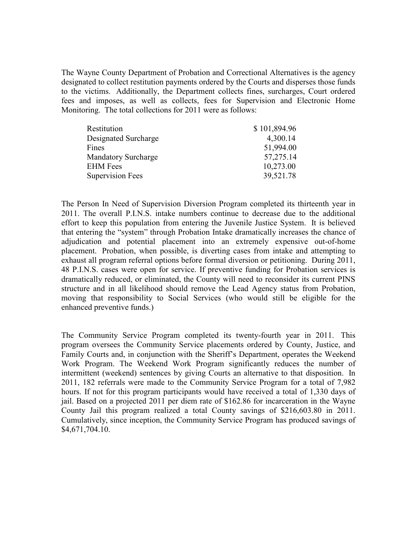The Wayne County Department of Probation and Correctional Alternatives is the agency designated to collect restitution payments ordered by the Courts and disperses those funds to the victims. Additionally, the Department collects fines, surcharges, Court ordered fees and imposes, as well as collects, fees for Supervision and Electronic Home Monitoring. The total collections for 2011 were as follows:

| Restitution                | \$101,894.96 |
|----------------------------|--------------|
| Designated Surcharge       | 4,300.14     |
| Fines                      | 51,994.00    |
| <b>Mandatory Surcharge</b> | 57,275.14    |
| <b>EHM</b> Fees            | 10,273.00    |
| <b>Supervision Fees</b>    | 39,521.78    |

The Person In Need of Supervision Diversion Program completed its thirteenth year in 2011. The overall P.I.N.S. intake numbers continue to decrease due to the additional effort to keep this population from entering the Juvenile Justice System. It is believed that entering the "system" through Probation Intake dramatically increases the chance of adjudication and potential placement into an extremely expensive out-of-home placement. Probation, when possible, is diverting cases from intake and attempting to exhaust all program referral options before formal diversion or petitioning. During 2011, 48 P.I.N.S. cases were open for service. If preventive funding for Probation services is dramatically reduced, or eliminated, the County will need to reconsider its current PINS structure and in all likelihood should remove the Lead Agency status from Probation, moving that responsibility to Social Services (who would still be eligible for the enhanced preventive funds.)

The Community Service Program completed its twenty-fourth year in 2011. This program oversees the Community Service placements ordered by County, Justice, and Family Courts and, in conjunction with the Sheriff's Department, operates the Weekend Work Program. The Weekend Work Program significantly reduces the number of intermittent (weekend) sentences by giving Courts an alternative to that disposition. In 2011, 182 referrals were made to the Community Service Program for a total of 7,982 hours. If not for this program participants would have received a total of 1,330 days of jail. Based on a projected 2011 per diem rate of \$162.86 for incarceration in the Wayne County Jail this program realized a total County savings of \$216,603.80 in 2011. Cumulatively, since inception, the Community Service Program has produced savings of \$4,671,704.10.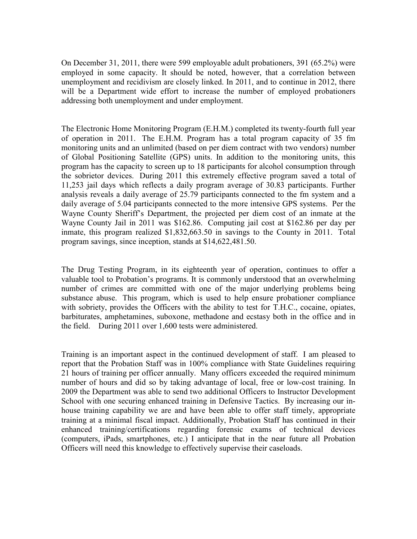On December 31, 2011, there were 599 employable adult probationers, 391 (65.2%) were employed in some capacity. It should be noted, however, that a correlation between unemployment and recidivism are closely linked. In 2011, and to continue in 2012, there will be a Department wide effort to increase the number of employed probationers addressing both unemployment and under employment.

The Electronic Home Monitoring Program (E.H.M.) completed its twenty-fourth full year of operation in 2011. The E.H.M. Program has a total program capacity of 35 fm monitoring units and an unlimited (based on per diem contract with two vendors) number of Global Positioning Satellite (GPS) units. In addition to the monitoring units, this program has the capacity to screen up to 18 participants for alcohol consumption through the sobrietor devices. During 2011 this extremely effective program saved a total of 11,253 jail days which reflects a daily program average of 30.83 participants. Further analysis reveals a daily average of 25.79 participants connected to the fm system and a daily average of 5.04 participants connected to the more intensive GPS systems. Per the Wayne County Sheriff's Department, the projected per diem cost of an inmate at the Wayne County Jail in 2011 was \$162.86. Computing jail cost at \$162.86 per day per inmate, this program realized \$1,832,663.50 in savings to the County in 2011. Total program savings, since inception, stands at \$14,622,481.50.

The Drug Testing Program, in its eighteenth year of operation, continues to offer a valuable tool to Probation's programs. It is commonly understood that an overwhelming number of crimes are committed with one of the major underlying problems being substance abuse. This program, which is used to help ensure probationer compliance with sobriety, provides the Officers with the ability to test for T.H.C., cocaine, opiates, barbiturates, amphetamines, suboxone, methadone and ecstasy both in the office and in the field. During 2011 over 1,600 tests were administered.

Training is an important aspect in the continued development of staff. I am pleased to report that the Probation Staff was in 100% compliance with State Guidelines requiring 21 hours of training per officer annually. Many officers exceeded the required minimum number of hours and did so by taking advantage of local, free or low-cost training. In 2009 the Department was able to send two additional Officers to Instructor Development School with one securing enhanced training in Defensive Tactics. By increasing our inhouse training capability we are and have been able to offer staff timely, appropriate training at a minimal fiscal impact. Additionally, Probation Staff has continued in their enhanced training/certifications regarding forensic exams of technical devices (computers, iPads, smartphones, etc.) I anticipate that in the near future all Probation Officers will need this knowledge to effectively supervise their caseloads.